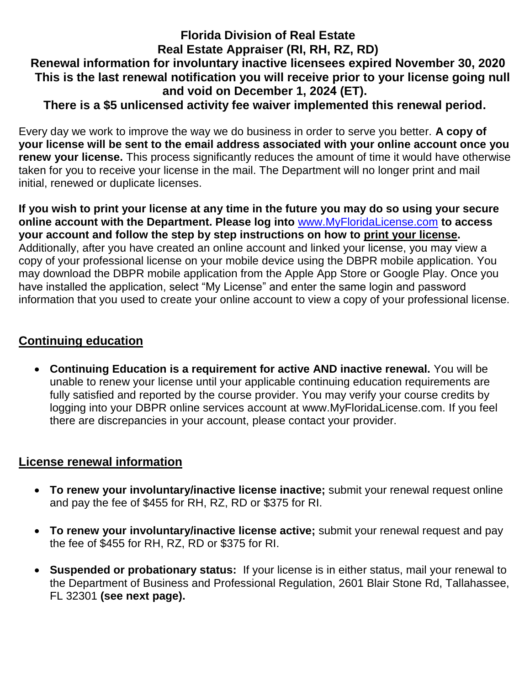## **Florida Division of Real Estate Real Estate Appraiser (RI, RH, RZ, RD) Renewal information for involuntary inactive licensees expired November 30, 2020 This is the last renewal notification you will receive prior to your license going null and void on December 1, 2024 (ET). There is a \$5 unlicensed activity fee waiver implemented this renewal period.**

Every day we work to improve the way we do business in order to serve you better. **A copy of your license will be sent to the email address associated with your online account once you renew your license.** This process significantly reduces the amount of time it would have otherwise taken for you to receive your license in the mail. The Department will no longer print and mail initial, renewed or duplicate licenses.

**If you wish to print your license at any time in the future you may do so using your secure online account with the Department. Please log into** [www.MyFloridaLicense.com](http://www.myfloridalicense.com/) **to access your account and follow the step by step instructions on how to print your license.**  Additionally, after you have created an online account and linked your license, you may view a copy of your professional license on your mobile device using the DBPR mobile application. You may download the DBPR mobile application from the Apple App Store or Google Play. Once you have installed the application, select "My License" and enter the same login and password information that you used to create your online account to view a copy of your professional license.

## **Continuing education**

 **Continuing Education is a requirement for active AND inactive renewal.** You will be unable to renew your license until your applicable continuing education requirements are fully satisfied and reported by the course provider. You may verify your course credits by logging into your DBPR online services account at www.MyFloridaLicense.com. If you feel there are discrepancies in your account, please contact your provider.

## **License renewal information**

- **To renew your involuntary/inactive license inactive;** submit your renewal request online and pay the fee of \$455 for RH, RZ, RD or \$375 for RI.
- **To renew your involuntary/inactive license active;** submit your renewal request and pay the fee of \$455 for RH, RZ, RD or \$375 for RI.
- **Suspended or probationary status:** If your license is in either status, mail your renewal to the Department of Business and Professional Regulation, 2601 Blair Stone Rd, Tallahassee, FL 32301 **(see next page).**